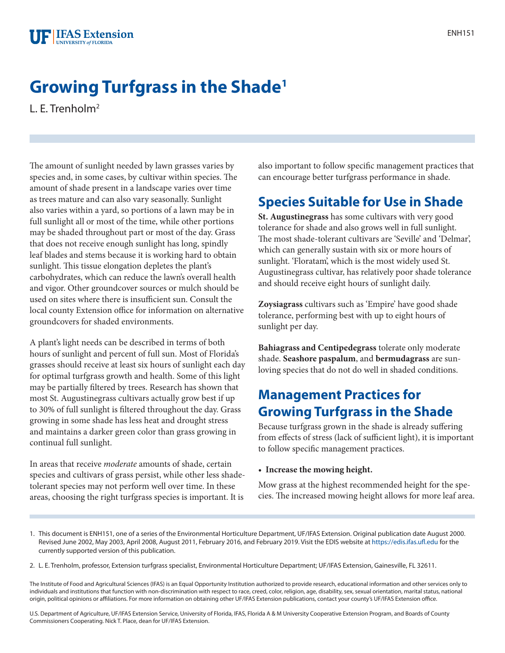# **Growing Turfgrass in the Shade1**

L. E. Trenholm2

The amount of sunlight needed by lawn grasses varies by species and, in some cases, by cultivar within species. The amount of shade present in a landscape varies over time as trees mature and can also vary seasonally. Sunlight also varies within a yard, so portions of a lawn may be in full sunlight all or most of the time, while other portions may be shaded throughout part or most of the day. Grass that does not receive enough sunlight has long, spindly leaf blades and stems because it is working hard to obtain sunlight. This tissue elongation depletes the plant's carbohydrates, which can reduce the lawn's overall health and vigor. Other groundcover sources or mulch should be used on sites where there is insufficient sun. Consult the local county Extension office for information on alternative groundcovers for shaded environments.

A plant's light needs can be described in terms of both hours of sunlight and percent of full sun. Most of Florida's grasses should receive at least six hours of sunlight each day for optimal turfgrass growth and health. Some of this light may be partially filtered by trees. Research has shown that most St. Augustinegrass cultivars actually grow best if up to 30% of full sunlight is filtered throughout the day. Grass growing in some shade has less heat and drought stress and maintains a darker green color than grass growing in continual full sunlight.

In areas that receive *moderate* amounts of shade, certain species and cultivars of grass persist, while other less shadetolerant species may not perform well over time. In these areas, choosing the right turfgrass species is important. It is

also important to follow specific management practices that can encourage better turfgrass performance in shade.

# **Species Suitable for Use in Shade**

**St. Augustinegrass** has some cultivars with very good tolerance for shade and also grows well in full sunlight. The most shade-tolerant cultivars are 'Seville' and 'Delmar', which can generally sustain with six or more hours of sunlight. 'Floratam', which is the most widely used St. Augustinegrass cultivar, has relatively poor shade tolerance and should receive eight hours of sunlight daily.

**Zoysiagrass** cultivars such as 'Empire' have good shade tolerance, performing best with up to eight hours of sunlight per day.

**Bahiagrass and Centipedegrass** tolerate only moderate shade. **Seashore paspalum**, and **bermudagrass** are sunloving species that do not do well in shaded conditions.

# **Management Practices for Growing Turfgrass in the Shade**

Because turfgrass grown in the shade is already suffering from effects of stress (lack of sufficient light), it is important to follow specific management practices.

• **Increase the mowing height.**

Mow grass at the highest recommended height for the species. The increased mowing height allows for more leaf area.

The Institute of Food and Agricultural Sciences (IFAS) is an Equal Opportunity Institution authorized to provide research, educational information and other services only to individuals and institutions that function with non-discrimination with respect to race, creed, color, religion, age, disability, sex, sexual orientation, marital status, national origin, political opinions or affiliations. For more information on obtaining other UF/IFAS Extension publications, contact your county's UF/IFAS Extension office.

U.S. Department of Agriculture, UF/IFAS Extension Service, University of Florida, IFAS, Florida A & M University Cooperative Extension Program, and Boards of County Commissioners Cooperating. Nick T. Place, dean for UF/IFAS Extension.

<sup>1.</sup> This document is ENH151, one of a series of the Environmental Horticulture Department, UF/IFAS Extension. Original publication date August 2000. Revised June 2002, May 2003, April 2008, August 2011, February 2016, and February 2019. Visit the EDIS website at<https://edis.ifas.ufl.edu> for the currently supported version of this publication.

<sup>2.</sup> L. E. Trenholm, professor, Extension turfgrass specialist, Environmental Horticulture Department; UF/IFAS Extension, Gainesville, FL 32611.